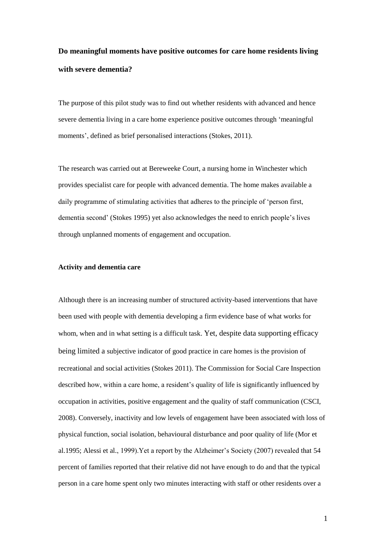# **Do meaningful moments have positive outcomes for care home residents living with severe dementia?**

The purpose of this pilot study was to find out whether residents with advanced and hence severe dementia living in a care home experience positive outcomes through 'meaningful moments', defined as brief personalised interactions (Stokes, 2011).

The research was carried out at Bereweeke Court, a nursing home in Winchester which provides specialist care for people with advanced dementia. The home makes available a daily programme of stimulating activities that adheres to the principle of 'person first, dementia second' (Stokes 1995) yet also acknowledges the need to enrich people's lives through unplanned moments of engagement and occupation.

## **Activity and dementia care**

Although there is an increasing number of structured activity-based interventions that have been used with people with dementia developing a firm evidence base of what works for whom, when and in what setting is a difficult task. Yet, despite data supporting efficacy being limited a subjective indicator of good practice in care homes is the provision of recreational and social activities (Stokes 2011). The Commission for Social Care Inspection described how, within a care home, a resident's quality of life is significantly influenced by occupation in activities, positive engagement and the quality of staff communication (CSCI, 2008). Conversely, inactivity and low levels of engagement have been associated with loss of physical function, social isolation, behavioural disturbance and poor quality of life (Mor et al.1995; Alessi et al., 1999).Yet a report by the Alzheimer's Society (2007) revealed that 54 percent of families reported that their relative did not have enough to do and that the typical person in a care home spent only two minutes interacting with staff or other residents over a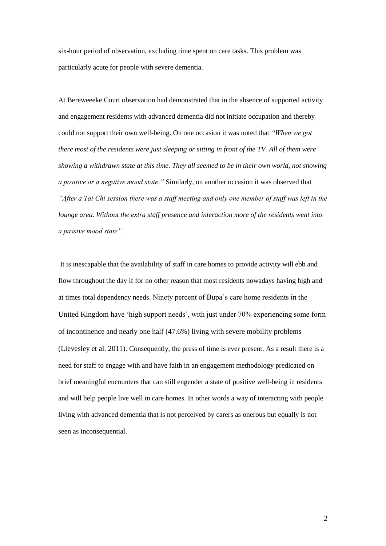six-hour period of observation, excluding time spent on care tasks. This problem was particularly acute for people with severe dementia.

At Bereweeeke Court observation had demonstrated that in the absence of supported activity and engagement residents with advanced dementia did not initiate occupation and thereby could not support their own well-being. On one occasion it was noted that *"When we got there most of the residents were just sleeping or sitting in front of the TV. All of them were showing a withdrawn state at this time. They all seemed to be in their own world, not showing a positive or a negative mood state."* Similarly, on another occasion it was observed that *"After a Tai Chi session there was a staff meeting and only one member of staff was left in the lounge area. Without the extra staff presence and interaction more of the residents went into a passive mood state".*

It is inescapable that the availability of staff in care homes to provide activity will ebb and flow throughout the day if for no other reason that most residents nowadays having high and at times total dependency needs. Ninety percent of Bupa's care home residents in the United Kingdom have 'high support needs', with just under 70% experiencing some form of incontinence and nearly one half (47.6%) living with severe mobility problems (Lievesley et al. 2011). Consequently, the press of time is ever present. As a result there is a need for staff to engage with and have faith in an engagement methodology predicated on brief meaningful encounters that can still engender a state of positive well-being in residents and will help people live well in care homes. In other words a way of interacting with people living with advanced dementia that is not perceived by carers as onerous but equally is not seen as inconsequential.

2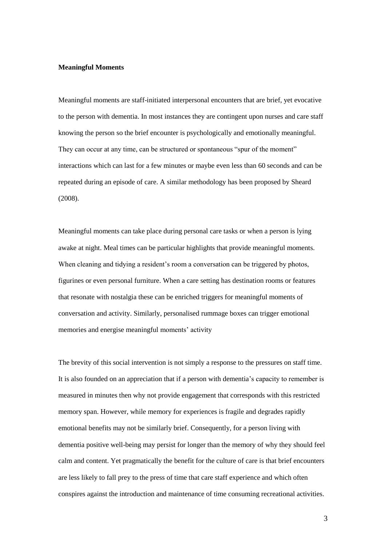# **Meaningful Moments**

Meaningful moments are staff-initiated interpersonal encounters that are brief, yet evocative to the person with dementia. In most instances they are contingent upon nurses and care staff knowing the person so the brief encounter is psychologically and emotionally meaningful. They can occur at any time, can be structured or spontaneous "spur of the moment" interactions which can last for a few minutes or maybe even less than 60 seconds and can be repeated during an episode of care. A similar methodology has been proposed by Sheard (2008).

Meaningful moments can take place during personal care tasks or when a person is lying awake at night. Meal times can be particular highlights that provide meaningful moments. When cleaning and tidying a resident's room a conversation can be triggered by photos, figurines or even personal furniture. When a care setting has destination rooms or features that resonate with nostalgia these can be enriched triggers for meaningful moments of conversation and activity. Similarly, personalised rummage boxes can trigger emotional memories and energise meaningful moments' activity

The brevity of this social intervention is not simply a response to the pressures on staff time. It is also founded on an appreciation that if a person with dementia's capacity to remember is measured in minutes then why not provide engagement that corresponds with this restricted memory span. However, while memory for experiences is fragile and degrades rapidly emotional benefits may not be similarly brief. Consequently, for a person living with dementia positive well-being may persist for longer than the memory of why they should feel calm and content. Yet pragmatically the benefit for the culture of care is that brief encounters are less likely to fall prey to the press of time that care staff experience and which often conspires against the introduction and maintenance of time consuming recreational activities.

3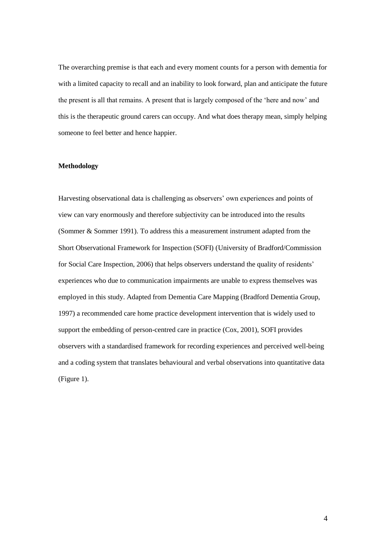The overarching premise is that each and every moment counts for a person with dementia for with a limited capacity to recall and an inability to look forward, plan and anticipate the future the present is all that remains. A present that is largely composed of the 'here and now' and this is the therapeutic ground carers can occupy. And what does therapy mean, simply helping someone to feel better and hence happier.

## **Methodology**

Harvesting observational data is challenging as observers' own experiences and points of view can vary enormously and therefore subjectivity can be introduced into the results (Sommer & Sommer 1991). To address this a measurement instrument adapted from the Short Observational Framework for Inspection (SOFI) (University of Bradford/Commission for Social Care Inspection, 2006) that helps observers understand the quality of residents' experiences who due to communication impairments are unable to express themselves was employed in this study. Adapted from Dementia Care Mapping (Bradford Dementia Group, 1997) a recommended care home practice development intervention that is widely used to support the embedding of person-centred care in practice (Cox, 2001), SOFI provides observers with a standardised framework for recording experiences and perceived well-being and a coding system that translates behavioural and verbal observations into quantitative data (Figure 1).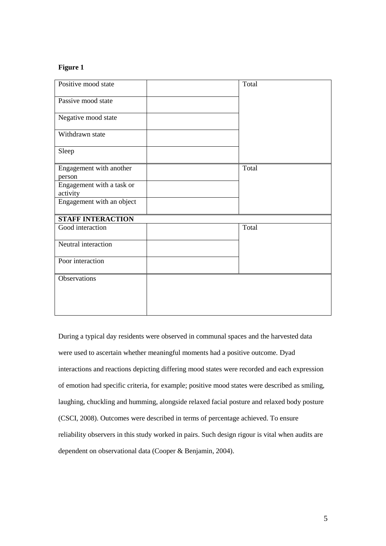# **Figure 1**

| Positive mood state                   |  | Total |
|---------------------------------------|--|-------|
| Passive mood state                    |  |       |
| Negative mood state                   |  |       |
| Withdrawn state                       |  |       |
| Sleep                                 |  |       |
| Engagement with another<br>person     |  | Total |
| Engagement with a task or<br>activity |  |       |
| Engagement with an object             |  |       |
| <b>STAFF INTERACTION</b>              |  |       |
| Good interaction                      |  | Total |
| Neutral interaction                   |  |       |
| Poor interaction                      |  |       |
| Observations                          |  |       |
|                                       |  |       |
|                                       |  |       |

During a typical day residents were observed in communal spaces and the harvested data were used to ascertain whether meaningful moments had a positive outcome. Dyad interactions and reactions depicting differing mood states were recorded and each expression of emotion had specific criteria, for example; positive mood states were described as smiling, laughing, chuckling and humming, alongside relaxed facial posture and relaxed body posture (CSCI, 2008). Outcomes were described in terms of percentage achieved. To ensure reliability observers in this study worked in pairs. Such design rigour is vital when audits are dependent on observational data (Cooper & Benjamin, 2004).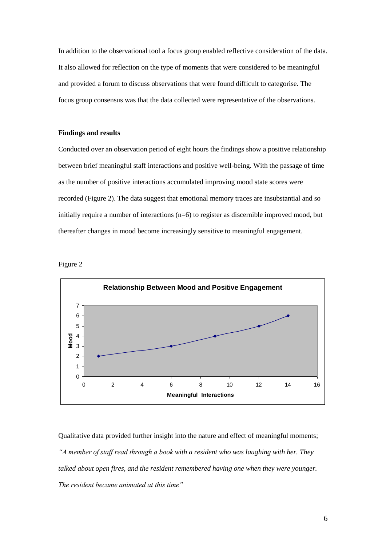In addition to the observational tool a focus group enabled reflective consideration of the data. It also allowed for reflection on the type of moments that were considered to be meaningful and provided a forum to discuss observations that were found difficult to categorise. The focus group consensus was that the data collected were representative of the observations.

# **Findings and results**

Conducted over an observation period of eight hours the findings show a positive relationship between brief meaningful staff interactions and positive well-being. With the passage of time as the number of positive interactions accumulated improving mood state scores were recorded (Figure 2). The data suggest that emotional memory traces are insubstantial and so initially require a number of interactions (n=6) to register as discernible improved mood, but thereafter changes in mood become increasingly sensitive to meaningful engagement.





Qualitative data provided further insight into the nature and effect of meaningful moments; *"A member of staff read through a book with a resident who was laughing with her. They talked about open fires, and the resident remembered having one when they were younger. The resident became animated at this time"*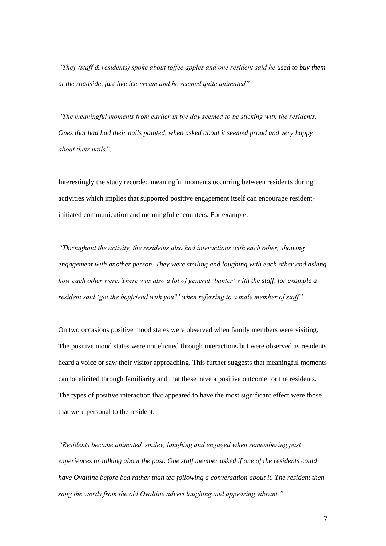*"They (staff & residents) spoke about toffee apples and one resident said he used to buy them at the roadside, just like ice-cream and he seemed quite animated"*

*"The meaningful moments from earlier in the day seemed to be sticking with the residents. Ones that had had their nails painted, when asked about it seemed proud and very happy about their nails"*.

Interestingly the study recorded meaningful moments occurring between residents during activities which implies that supported positive engagement itself can encourage residentinitiated communication and meaningful encounters. For example:

*"Throughout the activity, the residents also had interactions with each other, showing engagement with another person. They were smiling and laughing with each other and asking how each other were. There was also a lot of general 'banter' with the staff, for example a resident said 'got the boyfriend with you?' when referring to a male member of staff"*

On two occasions positive mood states were observed when family members were visiting. The positive mood states were not elicited through interactions but were observed as residents heard a voice or saw their visitor approaching. This further suggests that meaningful moments can be elicited through familiarity and that these have a positive outcome for the residents. The types of positive interaction that appeared to have the most significant effect were those that were personal to the resident.

*"Residents became animated, smiley, laughing and engaged when remembering past experiences or talking about the past. One staff member asked if one of the residents could have Ovaltine before bed rather than tea following a conversation about it. The resident then sang the words from the old Ovaltine advert laughing and appearing vibrant."*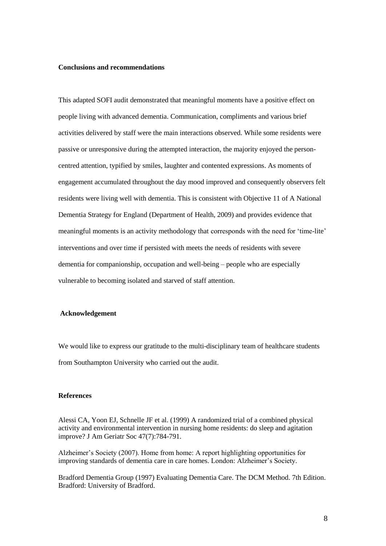# **Conclusions and recommendations**

This adapted SOFI audit demonstrated that meaningful moments have a positive effect on people living with advanced dementia. Communication, compliments and various brief activities delivered by staff were the main interactions observed. While some residents were passive or unresponsive during the attempted interaction, the majority enjoyed the personcentred attention, typified by smiles, laughter and contented expressions. As moments of engagement accumulated throughout the day mood improved and consequently observers felt residents were living well with dementia. This is consistent with Objective 11 of A National Dementia Strategy for England (Department of Health, 2009) and provides evidence that meaningful moments is an activity methodology that corresponds with the need for 'time-lite' interventions and over time if persisted with meets the needs of residents with severe dementia for companionship, occupation and well-being – people who are especially vulnerable to becoming isolated and starved of staff attention.

#### **Acknowledgement**

We would like to express our gratitude to the multi-disciplinary team of healthcare students from Southampton University who carried out the audit.

### **References**

Alessi CA, Yoon EJ, Schnelle JF et al. (1999) A randomized trial of a combined physical activity and environmental intervention in nursing home residents: do sleep and agitation improve? J Am Geriatr Soc 47(7):784-791.

Alzheimer's Society (2007). Home from home: A report highlighting opportunities for improving standards of dementia care in care homes. London: Alzheimer's Society.

Bradford Dementia Group (1997) Evaluating Dementia Care. The DCM Method. 7th Edition. Bradford: University of Bradford.